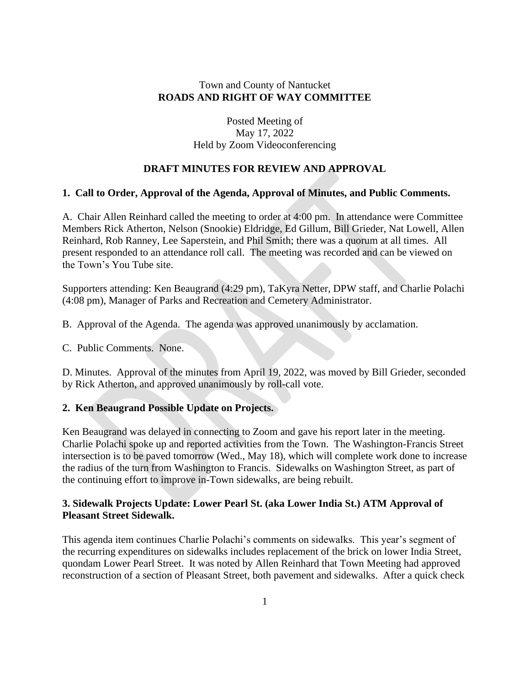## Town and County of Nantucket **ROADS AND RIGHT OF WAY COMMITTEE**

Posted Meeting of May 17, 2022 Held by Zoom Videoconferencing

## **DRAFT MINUTES FOR REVIEW AND APPROVAL**

### **1. Call to Order, Approval of the Agenda, Approval of Minutes, and Public Comments.**

A. Chair Allen Reinhard called the meeting to order at 4:00 pm. In attendance were Committee Members Rick Atherton, Nelson (Snookie) Eldridge, Ed Gillum, Bill Grieder, Nat Lowell, Allen Reinhard, Rob Ranney, Lee Saperstein, and Phil Smith; there was a quorum at all times. All present responded to an attendance roll call. The meeting was recorded and can be viewed on the Town's You Tube site.

Supporters attending: Ken Beaugrand (4:29 pm), TaKyra Netter, DPW staff, and Charlie Polachi (4:08 pm), Manager of Parks and Recreation and Cemetery Administrator.

B. Approval of the Agenda. The agenda was approved unanimously by acclamation.

C. Public Comments. None.

D. Minutes. Approval of the minutes from April 19, 2022, was moved by Bill Grieder, seconded by Rick Atherton, and approved unanimously by roll-call vote.

### **2. Ken Beaugrand Possible Update on Projects.**

Ken Beaugrand was delayed in connecting to Zoom and gave his report later in the meeting. Charlie Polachi spoke up and reported activities from the Town. The Washington-Francis Street intersection is to be paved tomorrow (Wed., May 18), which will complete work done to increase the radius of the turn from Washington to Francis. Sidewalks on Washington Street, as part of the continuing effort to improve in-Town sidewalks, are being rebuilt.

## **3. Sidewalk Projects Update: Lower Pearl St. (aka Lower India St.) ATM Approval of Pleasant Street Sidewalk.**

This agenda item continues Charlie Polachi's comments on sidewalks. This year's segment of the recurring expenditures on sidewalks includes replacement of the brick on lower India Street, quondam Lower Pearl Street. It was noted by Allen Reinhard that Town Meeting had approved reconstruction of a section of Pleasant Street, both pavement and sidewalks. After a quick check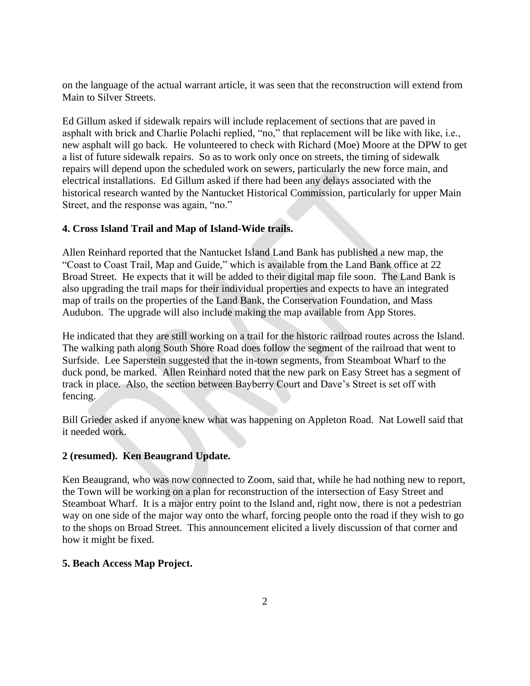on the language of the actual warrant article, it was seen that the reconstruction will extend from Main to Silver Streets.

Ed Gillum asked if sidewalk repairs will include replacement of sections that are paved in asphalt with brick and Charlie Polachi replied, "no," that replacement will be like with like, i.e., new asphalt will go back. He volunteered to check with Richard (Moe) Moore at the DPW to get a list of future sidewalk repairs. So as to work only once on streets, the timing of sidewalk repairs will depend upon the scheduled work on sewers, particularly the new force main, and electrical installations. Ed Gillum asked if there had been any delays associated with the historical research wanted by the Nantucket Historical Commission, particularly for upper Main Street, and the response was again, "no."

# **4. Cross Island Trail and Map of Island-Wide trails.**

Allen Reinhard reported that the Nantucket Island Land Bank has published a new map, the "Coast to Coast Trail, Map and Guide," which is available from the Land Bank office at 22 Broad Street. He expects that it will be added to their digital map file soon. The Land Bank is also upgrading the trail maps for their individual properties and expects to have an integrated map of trails on the properties of the Land Bank, the Conservation Foundation, and Mass Audubon. The upgrade will also include making the map available from App Stores.

He indicated that they are still working on a trail for the historic railroad routes across the Island. The walking path along South Shore Road does follow the segment of the railroad that went to Surfside. Lee Saperstein suggested that the in-town segments, from Steamboat Wharf to the duck pond, be marked. Allen Reinhard noted that the new park on Easy Street has a segment of track in place. Also, the section between Bayberry Court and Dave's Street is set off with fencing.

Bill Grieder asked if anyone knew what was happening on Appleton Road. Nat Lowell said that it needed work.

## **2 (resumed). Ken Beaugrand Update.**

Ken Beaugrand, who was now connected to Zoom, said that, while he had nothing new to report, the Town will be working on a plan for reconstruction of the intersection of Easy Street and Steamboat Wharf. It is a major entry point to the Island and, right now, there is not a pedestrian way on one side of the major way onto the wharf, forcing people onto the road if they wish to go to the shops on Broad Street. This announcement elicited a lively discussion of that corner and how it might be fixed.

## **5. Beach Access Map Project.**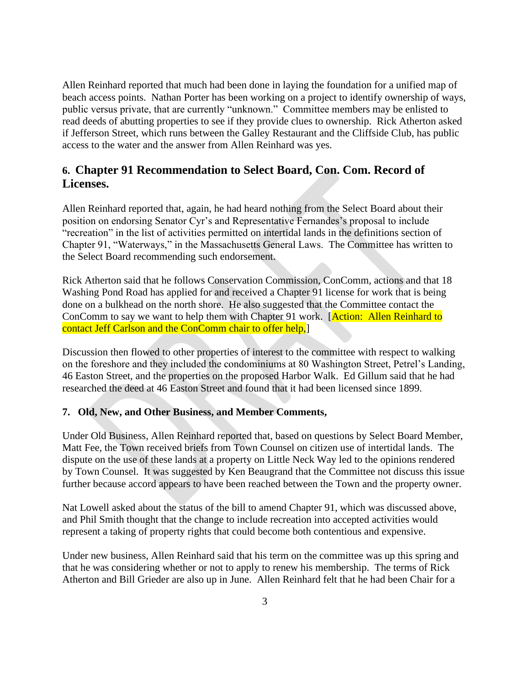Allen Reinhard reported that much had been done in laying the foundation for a unified map of beach access points. Nathan Porter has been working on a project to identify ownership of ways, public versus private, that are currently "unknown." Committee members may be enlisted to read deeds of abutting properties to see if they provide clues to ownership. Rick Atherton asked if Jefferson Street, which runs between the Galley Restaurant and the Cliffside Club, has public access to the water and the answer from Allen Reinhard was yes.

# **6. Chapter 91 Recommendation to Select Board, Con. Com. Record of Licenses.**

Allen Reinhard reported that, again, he had heard nothing from the Select Board about their position on endorsing Senator Cyr's and Representative Fernandes's proposal to include "recreation" in the list of activities permitted on intertidal lands in the definitions section of Chapter 91, "Waterways," in the Massachusetts General Laws. The Committee has written to the Select Board recommending such endorsement.

Rick Atherton said that he follows Conservation Commission, ConComm, actions and that 18 Washing Pond Road has applied for and received a Chapter 91 license for work that is being done on a bulkhead on the north shore. He also suggested that the Committee contact the ConComm to say we want to help them with Chapter 91 work. [Action: Allen Reinhard to contact Jeff Carlson and the ConComm chair to offer help,

Discussion then flowed to other properties of interest to the committee with respect to walking on the foreshore and they included the condominiums at 80 Washington Street, Petrel's Landing, 46 Easton Street, and the properties on the proposed Harbor Walk. Ed Gillum said that he had researched the deed at 46 Easton Street and found that it had been licensed since 1899.

## **7. Old, New, and Other Business, and Member Comments,**

Under Old Business, Allen Reinhard reported that, based on questions by Select Board Member, Matt Fee, the Town received briefs from Town Counsel on citizen use of intertidal lands. The dispute on the use of these lands at a property on Little Neck Way led to the opinions rendered by Town Counsel. It was suggested by Ken Beaugrand that the Committee not discuss this issue further because accord appears to have been reached between the Town and the property owner.

Nat Lowell asked about the status of the bill to amend Chapter 91, which was discussed above, and Phil Smith thought that the change to include recreation into accepted activities would represent a taking of property rights that could become both contentious and expensive.

Under new business, Allen Reinhard said that his term on the committee was up this spring and that he was considering whether or not to apply to renew his membership. The terms of Rick Atherton and Bill Grieder are also up in June. Allen Reinhard felt that he had been Chair for a